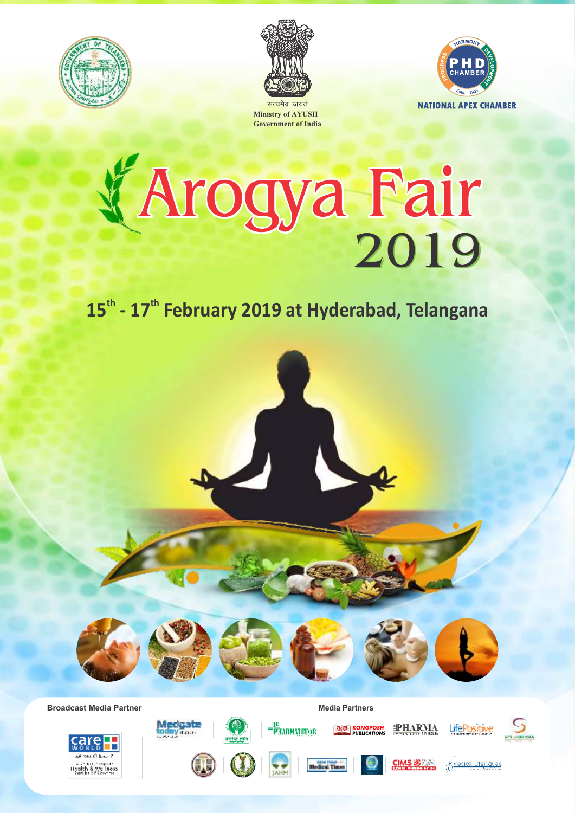





सत्यमेव जयते **Ministry of AYUSH Government of India**

# 2019 Arogya Fair

# 15<sup>th</sup> - 17<sup>th</sup> February 2019 at Hyderabad, Telangana

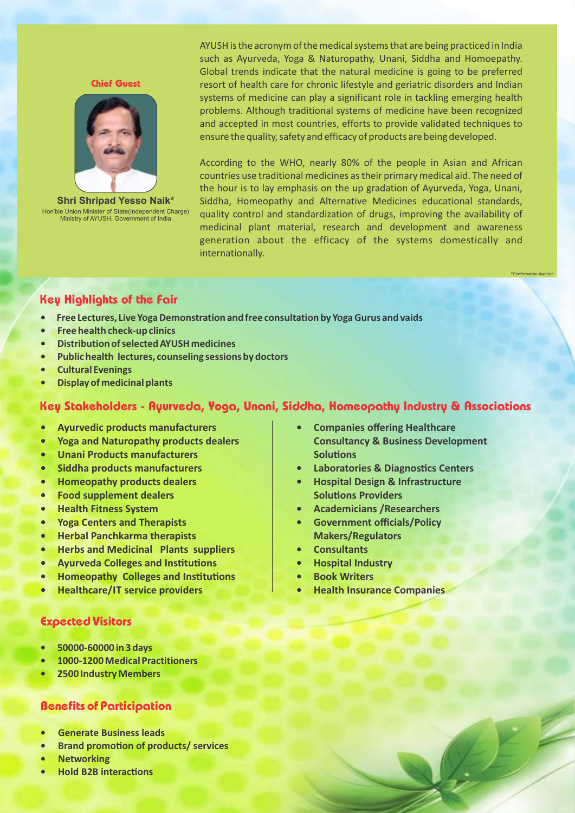Chief Guest



Hon'ble Union Minister of State(Independent Charge) Ministry of AYUSH, Government of India **Shri Shripad Yesso Naik\***

AYUSH is the acronym of the medical systems that are being practiced in India such as Ayurveda, Yoga & Naturopathy, Unani, Siddha and Homoepathy. Global trends indicate that the natural medicine is going to be preferred resort of health care for chronic lifestyle and geriatric disorders and Indian systems of medicine can play a significant role in tackling emerging health problems. Although traditional systems of medicine have been recognized and accepted in most countries, efforts to provide validated techniques to ensure the quality, safety and efficacy of products are being developed.

According to the WHO, nearly 80% of the people in Asian and African countries use traditional medicines as their primary medical aid. The need of the hour is to lay emphasis on the up gradation of Ayurveda, Yoga, Unani, Siddha, Homeopathy and Alternative Medicines educational standards, quality control and standardization of drugs, improving the availability of medicinal plant material, research and development and awareness generation about the efficacy of the systems domestically and internationally.

# Key Highlights of the Fair

- **Free Lectures, Live Yoga Demonstration and free consultation by Yoga Gurus and vaids**
- **Free health check‐up clinics**
- **Distribution of selected AYUSH medicines**
- **Public health lectures, counseling sessions by doctors**
- **Cultural Evenings**
- **Display of medicinal plants**

### Key Stakeholders - Ayurveda, Yoga, Unani, Siddha, Homeopathy Industry & Associations

- **Ayurvedic products manufacturers**
- **Yoga and Naturopathy products dealers**
- **Unani Products manufacturers**
- **Siddha products manufacturers**
- **Homeopathy products dealers**
- **Food supplement dealers**
- **Health Fitness System**
- **Yoga Centers and Therapists**
- **Herbal Panchkarma therapists**
- **Herbs and Medicinal Plants suppliers**
- **Ayurveda Colleges and Institutions**
- **Homeopathy Colleges and Institutions**
- **Healthcare/IT service providers**

#### Expected Visitors

- **50000‐60000 in 3 days**
- **1000‐1200 Medical Practitioners**
- **2500 Industry Members**

#### Benefits of Participation

- **Generate Business leads**
- **•** Brand promotion of products/ services
- **Networking**
- **Hold B2B interactions**

**• Companies offering Healthcare Consultancy & Business Development Solutions** 

\*Confirmation Awaited

- **Laboratories & Diagnostics Centers**
- **Hospital Design & Infrastructure Solutions Providers**
- **Academicians /Researchers**
- **Government officials/Policy Makers/Regulators**
- **Consultants**
- **Hospital Industry**
- **Book Writers**
- **Health Insurance Companies**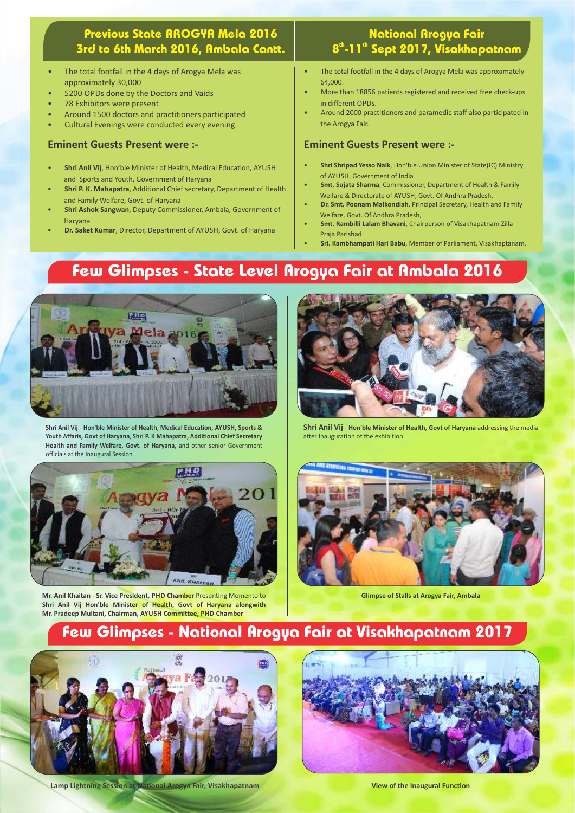# Previous State AROGYA Mela 2016 3rd to 6th March 2016, Ambala Cantt.

- The total footfall in the 4 days of Arogya Mela was approximately 30,000
- 5200 OPDs done by the Doctors and Vaids
- 78 Exhibitors were present
- Around 1500 doctors and practitioners participated
- Cultural Evenings were conducted every evening

#### **Eminent Guests Present were :‐**

- **Shri Anil Vij**, Hon'ble Minister of Health, Medical Education, AYUSH and Sports and Youth, Government of Haryana
- **Shri P. K. Mahapatra**, Additional Chief secretary, Department of Health and Family Welfare, Govt. of Haryana
- **Shri Ashok Sangwan**, Deputy Commissioner, Ambala, Government of Haryana
- **Dr. Saket Kumar**, Director, Department of AYUSH, Govt. of Haryana

# National Arogya Fair 8<sup>th</sup>-11<sup>th</sup> Sept 2017, Visakhapatnam

- The total footfall in the 4 days of Arogya Mela was approximately 64,000.
- More than 18856 patients registered and received free check‐ups in different OPDs.
- Around 2000 practitioners and paramedic staff also participated in the Arogya Fair.

#### **Eminent Guests Present were :‐**

- **Shri Shripad Yesso Naik**, Hon'ble Union Minister of State(IC) Ministry of AYUSH, Government of India
- **Smt. Sujata Sharma**, Commissioner, Department of Health & Family Welfare & Directorate of AYUSH, Govt. Of Andhra Pradesh,
- **Dr. Smt. Poonam Malkondiah**, Principal Secretary, Health and Family Welfare, Govt. Of Andhra Pradesh,
- **Smt. Rambilli Lalam Bhavani**, Chairperson of Visakhapatnam Zilla Praja Parishad
- **Sri. Kambhampati Hari Babu**, Member of Parliament, Visakhaptanam,

# Few Glimpses - State Level Arogya Fair at Ambala 2016



**Shri Anil Vij** ‐ **Hon'ble Minister of Health**, **Medical Education, AYUSH, Sports & Youth Affaris, Govt of Haryana**, **Shri P. K Mahapatra, Additional Chief Secretary Health and Family Welfare, Govt. of Haryana,** and other senior Government officials at the Inaugural Session



**Mr. Anil Khaitan** ‐ **Sr. Vice President, PHD Chamber** Presenting Momento to **Shri Anil Vij Hon'ble Minister of Health, Govt of Haryana alongwith Mr. Pradeep Multani, Chairman, AYUSH Committee, PHD Chamber**



**Shri Anil Vij** ‐ **Hon'ble Minister of Health, Govt of Haryana** addressing the media after Inauguration of the exhibition



**Glimpse of Stalls at Arogya Fair, Ambala**

# Few Glimpses - National Arogya Fair at Visakhapatnam 2017



**Lamp Lightning Session at National Arogya Fair, Visakhapatnam** 



**View of the Inaugural Function**